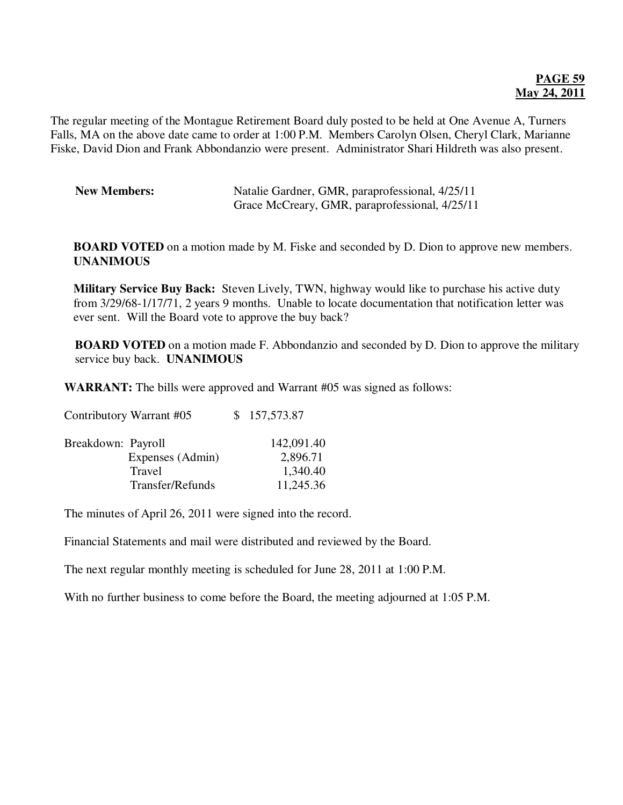## **PAGE 59 May 24, 2011**

The regular meeting of the Montague Retirement Board duly posted to be held at One Avenue A, Turners Falls, MA on the above date came to order at 1:00 P.M. Members Carolyn Olsen, Cheryl Clark, Marianne Fiske, David Dion and Frank Abbondanzio were present. Administrator Shari Hildreth was also present.

| <b>New Members:</b> | Natalie Gardner, GMR, paraprofessional, 4/25/11 |
|---------------------|-------------------------------------------------|
|                     | Grace McCreary, GMR, paraprofessional, 4/25/11  |

**BOARD VOTED** on a motion made by M. Fiske and seconded by D. Dion to approve new members. **UNANIMOUS** 

**Military Service Buy Back:** Steven Lively, TWN, highway would like to purchase his active duty from 3/29/68-1/17/71, 2 years 9 months. Unable to locate documentation that notification letter was ever sent. Will the Board vote to approve the buy back?

**BOARD VOTED** on a motion made F. Abbondanzio and seconded by D. Dion to approve the military service buy back. **UNANIMOUS** 

**WARRANT:** The bills were approved and Warrant #05 was signed as follows:

Contributory Warrant #05 \$ 157,573.87

| Breakdown: Payroll |                  | 142,091.40 |
|--------------------|------------------|------------|
|                    | Expenses (Admin) | 2,896.71   |
|                    | Travel           | 1,340.40   |
|                    | Transfer/Refunds | 11,245.36  |

The minutes of April 26, 2011 were signed into the record.

Financial Statements and mail were distributed and reviewed by the Board.

The next regular monthly meeting is scheduled for June 28, 2011 at 1:00 P.M.

With no further business to come before the Board, the meeting adjourned at 1:05 P.M.